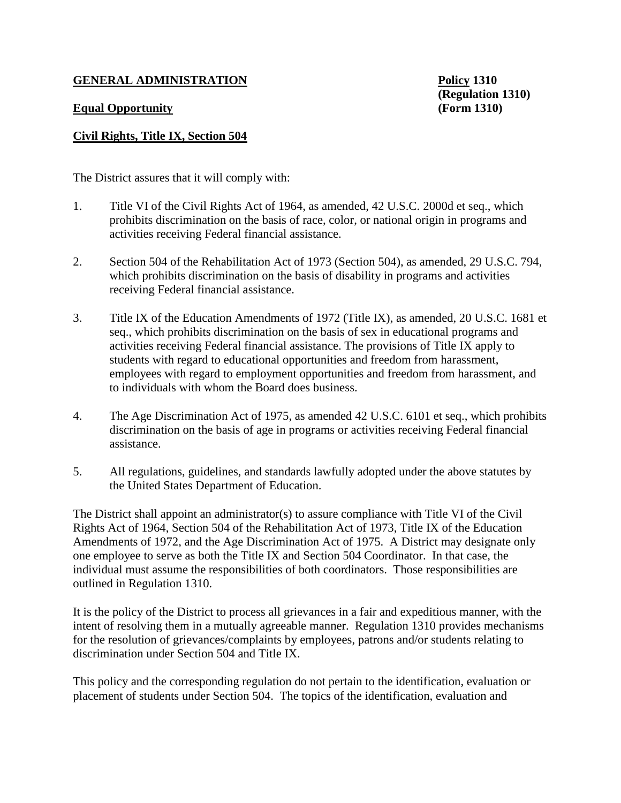## **GENERAL ADMINISTRATION Policy 1310**

## **Equal Opportunity (Form 1310)**

**(Regulation 1310)**

## **Civil Rights, Title IX, Section 504**

The District assures that it will comply with:

- 1. Title VI of the Civil Rights Act of 1964, as amended, 42 U.S.C. 2000d et seq., which prohibits discrimination on the basis of race, color, or national origin in programs and activities receiving Federal financial assistance.
- 2. Section 504 of the Rehabilitation Act of 1973 (Section 504), as amended, 29 U.S.C. 794, which prohibits discrimination on the basis of disability in programs and activities receiving Federal financial assistance.
- 3. Title IX of the Education Amendments of 1972 (Title IX), as amended, 20 U.S.C. 1681 et seq., which prohibits discrimination on the basis of sex in educational programs and activities receiving Federal financial assistance. The provisions of Title IX apply to students with regard to educational opportunities and freedom from harassment, employees with regard to employment opportunities and freedom from harassment, and to individuals with whom the Board does business.
- 4. The Age Discrimination Act of 1975, as amended 42 U.S.C. 6101 et seq., which prohibits discrimination on the basis of age in programs or activities receiving Federal financial assistance.
- 5. All regulations, guidelines, and standards lawfully adopted under the above statutes by the United States Department of Education.

The District shall appoint an administrator(s) to assure compliance with Title VI of the Civil Rights Act of 1964, Section 504 of the Rehabilitation Act of 1973, Title IX of the Education Amendments of 1972, and the Age Discrimination Act of 1975. A District may designate only one employee to serve as both the Title IX and Section 504 Coordinator. In that case, the individual must assume the responsibilities of both coordinators. Those responsibilities are outlined in Regulation 1310.

It is the policy of the District to process all grievances in a fair and expeditious manner, with the intent of resolving them in a mutually agreeable manner. Regulation 1310 provides mechanisms for the resolution of grievances/complaints by employees, patrons and/or students relating to discrimination under Section 504 and Title IX.

This policy and the corresponding regulation do not pertain to the identification, evaluation or placement of students under Section 504. The topics of the identification, evaluation and